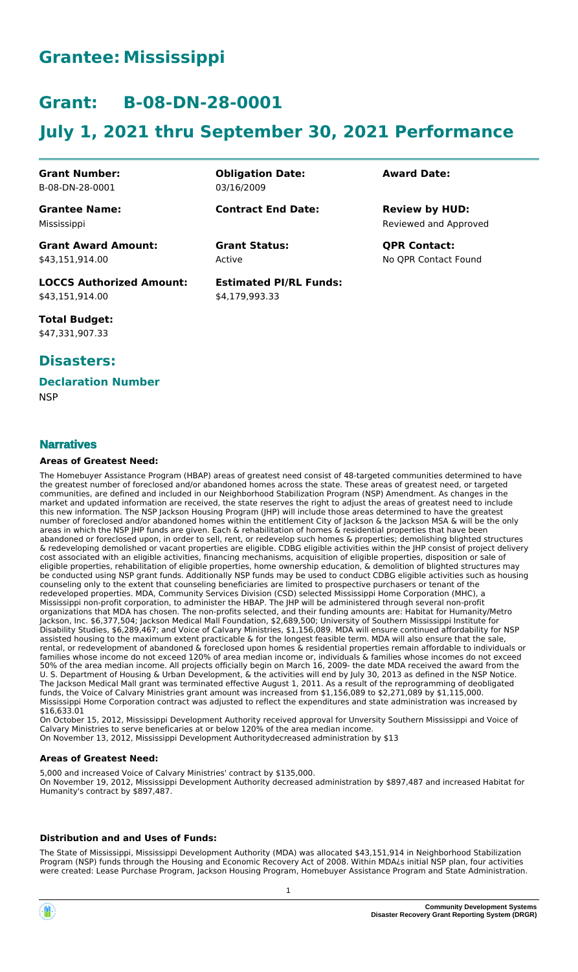# **Grantee: Mississippi**

# **Grant: B-08-DN-28-0001**

# **July 1, 2021 thru September 30, 2021 Performance**

**Grant Number:** B-08-DN-28-0001

**Grantee Name:** Mississippi

\$43,151,914.00

**Obligation Date:** 03/16/2009

**Contract End Date:**

Active **Grant Status: QPR Contact:**

**Estimated PI/RL Funds:** \$4,179,993.33

**Award Date:**

Reviewed and Approved **Review by HUD:**

No QPR Contact Found

**LOCCS Authorized Amount:** \$43,151,914.00

**Grant Award Amount:**

**Total Budget:** \$47,331,907.33

## **Disasters:**

## **Declaration Number**

**NSP** 

### **Narratives**

#### **Areas of Greatest Need:**

The Homebuyer Assistance Program (HBAP) areas of greatest need consist of 48-targeted communities determined to have the greatest number of foreclosed and/or abandoned homes across the state. These areas of greatest need, or targeted communities, are defined and included in our Neighborhood Stabilization Program (NSP) Amendment. As changes in the market and updated information are received, the state reserves the right to adjust the areas of greatest need to include this new information. The NSP Jackson Housing Program (JHP) will include those areas determined to have the greatest number of foreclosed and/or abandoned homes within the entitlement City of Jackson & the Jackson MSA & will be the only areas in which the NSP JHP funds are given. Each & rehabilitation of homes & residential properties that have been abandoned or foreclosed upon, in order to sell, rent, or redevelop such homes & properties; demolishing blighted structures & redeveloping demolished or vacant properties are eligible. CDBG eligible activities within the JHP consist of project delivery cost associated with an eligible activities, financing mechanisms, acquisition of eligible properties, disposition or sale of eligible properties, rehabilitation of eligible properties, home ownership education, & demolition of blighted structures may be conducted using NSP grant funds. Additionally NSP funds may be used to conduct CDBG eligible activities such as housing counseling only to the extent that counseling beneficiaries are limited to prospective purchasers or tenant of the redeveloped properties. MDA, Community Services Division (CSD) selected Mississippi Home Corporation (MHC), a Mississippi non-profit corporation, to administer the HBAP. The JHP will be administered through several non-profit organizations that MDA has chosen. The non-profits selected, and their funding amounts are: Habitat for Humanity/Metro Jackson, Inc. \$6,377,504; Jackson Medical Mall Foundation, \$2,689,500; University of Southern Mississippi Institute for Disability Studies, \$6,289,467; and Voice of Calvary Ministries, \$1,156,089. MDA will ensure continued affordability for NSP assisted housing to the maximum extent practicable & for the longest feasible term. MDA will also ensure that the sale, rental, or redevelopment of abandoned & foreclosed upon homes & residential properties remain affordable to individuals or families whose income do not exceed 120% of area median income or, individuals & families whose incomes do not exceed 50% of the area median income. All projects officially begin on March 16, 2009- the date MDA received the award from the U. S. Department of Housing & Urban Development, & the activities will end by July 30, 2013 as defined in the NSP Notice. The Jackson Medical Mall grant was terminated effective August 1, 2011. As a result of the reprogramming of deobligated funds, the Voice of Calvary Ministries grant amount was increased from \$1,156,089 to \$2,271,089 by \$1,115,000. Mississippi Home Corporation contract was adjusted to reflect the expenditures and state administration was increased by \$16,633.01

On October 15, 2012, Mississippi Development Authority received approval for Unversity Southern Mississippi and Voice of Calvary Ministries to serve beneficaries at or below 120% of the area median income.

On November 13, 2012, Mississippi Development Authoritydecreased administration by \$13

#### **Areas of Greatest Need:**

5,000 and increased Voice of Calvary Ministries' contract by \$135,000. On November 19, 2012, Mississippi Development Authority decreased administration by \$897,487 and increased Habitat for Humanity's contract by \$897,487.

#### **Distribution and and Uses of Funds:**

The State of Mississippi, Mississippi Development Authority (MDA) was allocated \$43,151,914 in Neighborhood Stabilization Program (NSP) funds through the Housing and Economic Recovery Act of 2008. Within MDA¿s initial NSP plan, four activities were created: Lease Purchase Program, Jackson Housing Program, Homebuyer Assistance Program and State Administration.



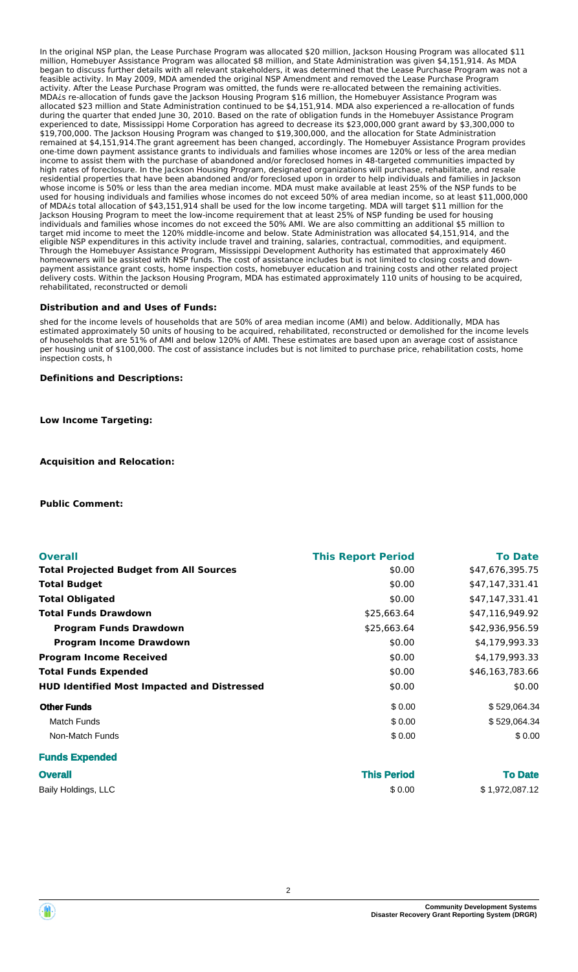In the original NSP plan, the Lease Purchase Program was allocated \$20 million, Jackson Housing Program was allocated \$11 million, Homebuyer Assistance Program was allocated \$8 million, and State Administration was given \$4,151,914. As MDA began to discuss further details with all relevant stakeholders, it was determined that the Lease Purchase Program was not a feasible activity. In May 2009, MDA amended the original NSP Amendment and removed the Lease Purchase Program activity. After the Lease Purchase Program was omitted, the funds were re-allocated between the remaining activities. MDA¿s re-allocation of funds gave the Jackson Housing Program \$16 million, the Homebuyer Assistance Program was allocated \$23 million and State Administration continued to be \$4,151,914. MDA also experienced a re-allocation of funds during the quarter that ended June 30, 2010. Based on the rate of obligation funds in the Homebuyer Assistance Program experienced to date, Mississippi Home Corporation has agreed to decrease its \$23,000,000 grant award by \$3,300,000 to \$19,700,000. The Jackson Housing Program was changed to \$19,300,000, and the allocation for State Administration remained at \$4,151,914.The grant agreement has been changed, accordingly. The Homebuyer Assistance Program provides one-time down payment assistance grants to individuals and families whose incomes are 120% or less of the area median income to assist them with the purchase of abandoned and/or foreclosed homes in 48-targeted communities impacted by high rates of foreclosure. In the Jackson Housing Program, designated organizations will purchase, rehabilitate, and resale residential properties that have been abandoned and/or foreclosed upon in order to help individuals and families in Jackson whose income is 50% or less than the area median income. MDA must make available at least 25% of the NSP funds to be used for housing individuals and families whose incomes do not exceed 50% of area median income, so at least \$11,000,000 of MDA¿s total allocation of \$43,151,914 shall be used for the low income targeting. MDA will target \$11 million for the Jackson Housing Program to meet the low-income requirement that at least 25% of NSP funding be used for housing individuals and families whose incomes do not exceed the 50% AMI. We are also committing an additional \$5 million to target mid income to meet the 120% middle-income and below. State Administration was allocated \$4,151,914, and the eligible NSP expenditures in this activity include travel and training, salaries, contractual, commodities, and equipment. Through the Homebuyer Assistance Program, Mississippi Development Authority has estimated that approximately 460 homeowners will be assisted with NSP funds. The cost of assistance includes but is not limited to closing costs and downpayment assistance grant costs, home inspection costs, homebuyer education and training costs and other related project delivery costs. Within the Jackson Housing Program, MDA has estimated approximately 110 units of housing to be acquired, rehabilitated, reconstructed or demoli

#### **Distribution and and Uses of Funds:**

shed for the income levels of households that are 50% of area median income (AMI) and below. Additionally, MDA has estimated approximately 50 units of housing to be acquired, rehabilitated, reconstructed or demolished for the income levels of households that are 51% of AMI and below 120% of AMI. These estimates are based upon an average cost of assistance per housing unit of \$100,000. The cost of assistance includes but is not limited to purchase price, rehabilitation costs, home inspection costs, h

**Definitions and Descriptions:**

**Low Income Targeting:**

**Acquisition and Relocation:**

**Public Comment:**

| <b>Overall</b>                                     | <b>This Report Period</b> | <b>To Date</b>  |
|----------------------------------------------------|---------------------------|-----------------|
| <b>Total Projected Budget from All Sources</b>     | \$0.00                    | \$47,676,395.75 |
| <b>Total Budget</b>                                | \$0.00                    | \$47,147,331.41 |
| <b>Total Obligated</b>                             | \$0.00                    | \$47,147,331.41 |
| <b>Total Funds Drawdown</b>                        | \$25,663.64               | \$47,116,949.92 |
| <b>Program Funds Drawdown</b>                      | \$25,663.64               | \$42,936,956.59 |
| <b>Program Income Drawdown</b>                     | \$0.00                    | \$4,179,993.33  |
| <b>Program Income Received</b>                     | \$0.00                    | \$4,179,993.33  |
| <b>Total Funds Expended</b>                        | \$0.00                    | \$46,163,783.66 |
| <b>HUD Identified Most Impacted and Distressed</b> | \$0.00                    | \$0.00          |
| <b>Other Funds</b>                                 | \$0.00                    | \$529,064.34    |
| Match Funds                                        | \$0.00                    | \$529,064.34    |
| Non-Match Funds                                    | \$0.00                    | \$0.00          |
| <b>Funds Expended</b>                              |                           |                 |

| <b>Overall</b>      | <b>This Period</b> | <b>To Date</b> |
|---------------------|--------------------|----------------|
| Baily Holdings, LLC | \$ 0.00            | \$1,972,087.12 |

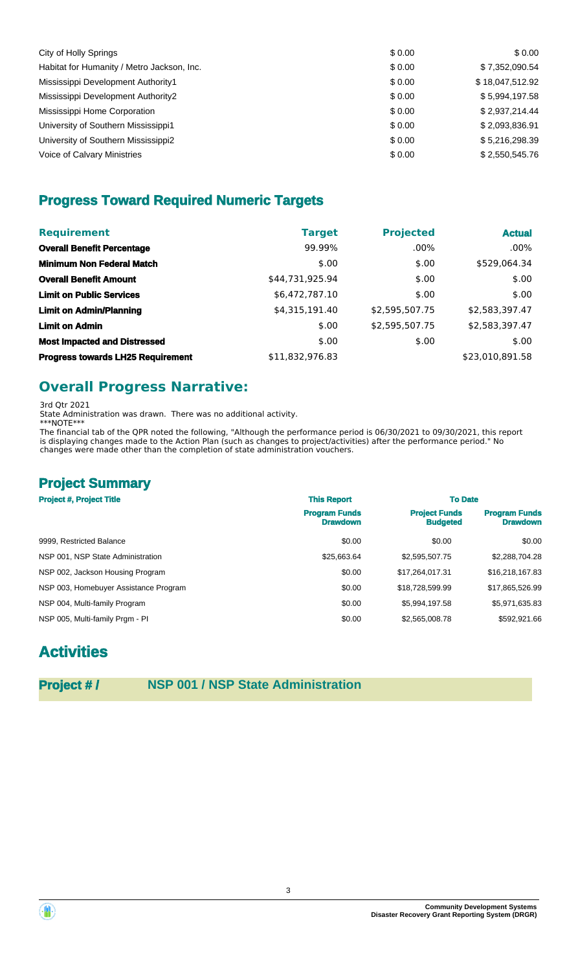| City of Holly Springs                      | \$0.00 | \$0.00          |
|--------------------------------------------|--------|-----------------|
| Habitat for Humanity / Metro Jackson, Inc. | \$0.00 | \$7,352,090.54  |
| Mississippi Development Authority1         | \$0.00 | \$18,047,512.92 |
| Mississippi Development Authority2         | \$0.00 | \$5,994,197.58  |
| Mississippi Home Corporation               | \$0.00 | \$2,937,214.44  |
| University of Southern Mississippi1        | \$0.00 | \$2,093,836.91  |
| University of Southern Mississippi2        | \$0.00 | \$5,216,298.39  |
| Voice of Calvary Ministries                | \$0.00 | \$2,550,545.76  |

## **Progress Toward Required Numeric Targets**

| <b>Requirement</b>                       | <b>Target</b>   | <b>Projected</b> | <b>Actual</b>   |
|------------------------------------------|-----------------|------------------|-----------------|
| <b>Overall Benefit Percentage</b>        | 99.99%          | $.00\%$          | $.00\%$         |
| <b>Minimum Non Federal Match</b>         | \$.00           | \$.00            | \$529,064.34    |
| <b>Overall Benefit Amount</b>            | \$44,731,925.94 | \$.00            | \$.00           |
| <b>Limit on Public Services</b>          | \$6,472,787.10  | \$.00            | \$.00           |
| <b>Limit on Admin/Planning</b>           | \$4,315,191.40  | \$2,595,507.75   | \$2,583,397.47  |
| <b>Limit on Admin</b>                    | \$.00           | \$2,595,507.75   | \$2,583,397.47  |
| <b>Most Impacted and Distressed</b>      | \$.00           | \$.00            | \$.00           |
| <b>Progress towards LH25 Requirement</b> | \$11,832,976.83 |                  | \$23,010,891.58 |

## **Overall Progress Narrative:**

3rd Qtr 2021

State Administration was drawn. There was no additional activity.

\*\*\*NOTE\*\*\* The financial tab of the QPR noted the following, "Although the performance period is 06/30/2021 to 09/30/2021, this report is displaying changes made to the Action Plan (such as changes to project/activities) after the performance period." No changes were made other than the completion of state administration vouchers.

## **Project Summary**

| <b>Project #, Project Title</b>       | <b>This Report</b>                      | <b>To Date</b>                          |                                         |
|---------------------------------------|-----------------------------------------|-----------------------------------------|-----------------------------------------|
|                                       | <b>Program Funds</b><br><b>Drawdown</b> | <b>Project Funds</b><br><b>Budgeted</b> | <b>Program Funds</b><br><b>Drawdown</b> |
| 9999. Restricted Balance              | \$0.00                                  | \$0.00                                  | \$0.00                                  |
| NSP 001, NSP State Administration     | \$25.663.64                             | \$2,595,507.75                          | \$2,288,704.28                          |
| NSP 002, Jackson Housing Program      | \$0.00                                  | \$17,264,017.31                         | \$16,218,167.83                         |
| NSP 003, Homebuyer Assistance Program | \$0.00                                  | \$18,728,599.99                         | \$17,865,526.99                         |
| NSP 004, Multi-family Program         | \$0.00                                  | \$5.994.197.58                          | \$5,971,635.83                          |
| NSP 005, Multi-family Prgm - PI       | \$0.00                                  | \$2,565,008.78                          | \$592,921.66                            |

# **Activities**

## **Project # / NSP 001 / NSP State Administration**

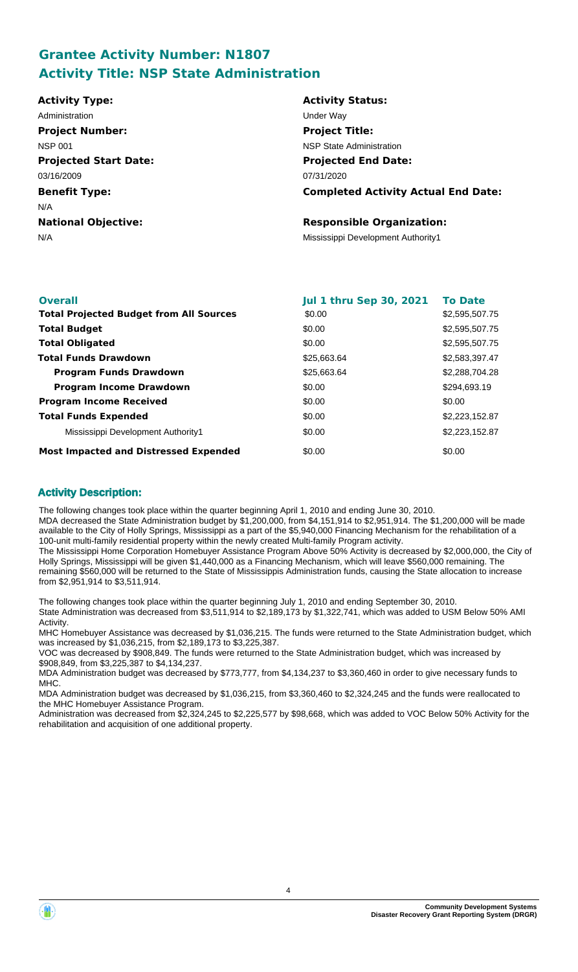## **Grantee Activity Number: N1807 Activity Title: NSP State Administration**

| <b>Activity Type:</b>        | <b>Activity Status:</b>                    |
|------------------------------|--------------------------------------------|
| Administration               | Under Way                                  |
| <b>Project Number:</b>       | <b>Project Title:</b>                      |
| <b>NSP 001</b>               | NSP State Administration                   |
| <b>Projected Start Date:</b> | <b>Projected End Date:</b>                 |
| 03/16/2009                   | 07/31/2020                                 |
| <b>Benefit Type:</b>         | <b>Completed Activity Actual End Date:</b> |
| N/A                          |                                            |
| <b>National Objective:</b>   | <b>Responsible Organization:</b>           |
| N/A                          | Mississippi Development Authority1         |
|                              |                                            |

| <b>Overall</b>                                 | <b>Jul 1 thru Sep 30, 2021</b> | <b>To Date</b> |
|------------------------------------------------|--------------------------------|----------------|
| <b>Total Projected Budget from All Sources</b> | \$0.00                         | \$2,595,507.75 |
| <b>Total Budget</b>                            | \$0.00                         | \$2,595,507.75 |
| <b>Total Obligated</b>                         | \$0.00                         | \$2,595,507.75 |
| <b>Total Funds Drawdown</b>                    | \$25,663.64                    | \$2,583,397.47 |
| <b>Program Funds Drawdown</b>                  | \$25,663.64                    | \$2,288,704.28 |
| <b>Program Income Drawdown</b>                 | \$0.00                         | \$294,693.19   |
| <b>Program Income Received</b>                 | \$0.00                         | \$0.00         |
| <b>Total Funds Expended</b>                    | \$0.00                         | \$2,223,152.87 |
| Mississippi Development Authority1             | \$0.00                         | \$2,223,152.87 |
| <b>Most Impacted and Distressed Expended</b>   | \$0.00                         | \$0.00         |

### **Activity Description:**

The following changes took place within the quarter beginning April 1, 2010 and ending June 30, 2010. MDA decreased the State Administration budget by \$1,200,000, from \$4,151,914 to \$2,951,914. The \$1,200,000 will be made available to the City of Holly Springs, Mississippi as a part of the \$5,940,000 Financing Mechanism for the rehabilitation of a 100-unit multi-family residential property within the newly created Multi-family Program activity. The Mississippi Home Corporation Homebuyer Assistance Program Above 50% Activity is decreased by \$2,000,000, the City of Holly Springs, Mississippi will be given \$1,440,000 as a Financing Mechanism, which will leave \$560,000 remaining. The

remaining \$560,000 will be returned to the State of Mississippis Administration funds, causing the State allocation to increase from \$2,951,914 to \$3,511,914.

The following changes took place within the quarter beginning July 1, 2010 and ending September 30, 2010. State Administration was decreased from \$3,511,914 to \$2,189,173 by \$1,322,741, which was added to USM Below 50% AMI Activity.

MHC Homebuyer Assistance was decreased by \$1,036,215. The funds were returned to the State Administration budget, which was increased by \$1,036,215, from \$2,189,173 to \$3,225,387.

VOC was decreased by \$908,849. The funds were returned to the State Administration budget, which was increased by \$908,849, from \$3,225,387 to \$4,134,237.

MDA Administration budget was decreased by \$773,777, from \$4,134,237 to \$3,360,460 in order to give necessary funds to MHC.

MDA Administration budget was decreased by \$1,036,215, from \$3,360,460 to \$2,324,245 and the funds were reallocated to the MHC Homebuyer Assistance Program.

Administration was decreased from \$2,324,245 to \$2,225,577 by \$98,668, which was added to VOC Below 50% Activity for the rehabilitation and acquisition of one additional property.

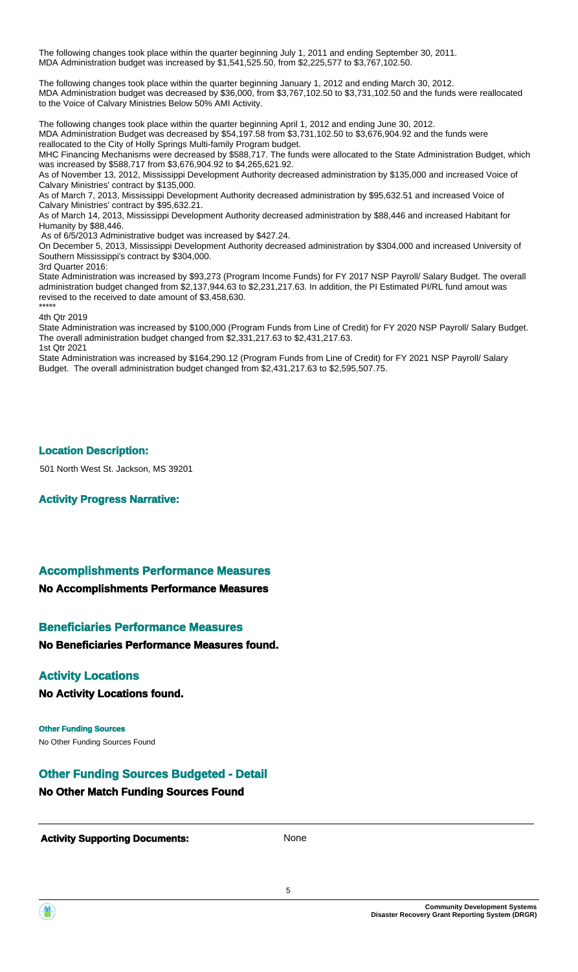The following changes took place within the quarter beginning July 1, 2011 and ending September 30, 2011. MDA Administration budget was increased by \$1,541,525.50, from \$2,225,577 to \$3,767,102.50.

The following changes took place within the quarter beginning January 1, 2012 and ending March 30, 2012. MDA Administration budget was decreased by \$36,000, from \$3,767,102.50 to \$3,731,102.50 and the funds were reallocated to the Voice of Calvary Ministries Below 50% AMI Activity.

The following changes took place within the quarter beginning April 1, 2012 and ending June 30, 2012. MDA Administration Budget was decreased by \$54,197.58 from \$3,731,102.50 to \$3,676,904.92 and the funds were reallocated to the City of Holly Springs Multi-family Program budget.

MHC Financing Mechanisms were decreased by \$588,717. The funds were allocated to the State Administration Budget, which was increased by \$588,717 from \$3,676,904.92 to \$4,265,621.92.

As of November 13, 2012, Mississippi Development Authority decreased administration by \$135,000 and increased Voice of Calvary Ministries' contract by \$135,000.

As of March 7, 2013, Mississippi Development Authority decreased administration by \$95,632.51 and increased Voice of Calvary Ministries' contract by \$95,632.21.

As of March 14, 2013, Mississippi Development Authority decreased administration by \$88,446 and increased Habitant for Humanity by \$88,446.

As of 6/5/2013 Administrative budget was increased by \$427.24.

On December 5, 2013, Mississippi Development Authority decreased administration by \$304,000 and increased University of Southern Mississippi's contract by \$304,000.

3rd Quarter 2016:

State Administration was increased by \$93,273 (Program Income Funds) for FY 2017 NSP Payroll/ Salary Budget. The overall administration budget changed from \$2,137,944.63 to \$2,231,217.63. In addition, the PI Estimated PI/RL fund amout was revised to the received to date amount of \$3,458,630.

#### \*\*\*\*\* 4th Qtr 2019

State Administration was increased by \$100,000 (Program Funds from Line of Credit) for FY 2020 NSP Payroll/ Salary Budget. The overall administration budget changed from \$2,331,217.63 to \$2,431,217.63. 1st Qtr 2021

State Administration was increased by \$164,290.12 (Program Funds from Line of Credit) for FY 2021 NSP Payroll/ Salary Budget. The overall administration budget changed from \$2,431,217.63 to \$2,595,507.75.

#### **Location Description:**

501 North West St. Jackson, MS 39201

**Activity Progress Narrative:**

### **Accomplishments Performance Measures**

### **No Accomplishments Performance Measures**

### **Beneficiaries Performance Measures**

**No Beneficiaries Performance Measures found.**

### **Activity Locations**

**No Activity Locations found.**

No Other Funding Sources Found **Other Funding Sources**

## **Other Funding Sources Budgeted - Detail**

## **No Other Match Funding Sources Found**

**Activity Supporting Documents:** None

5